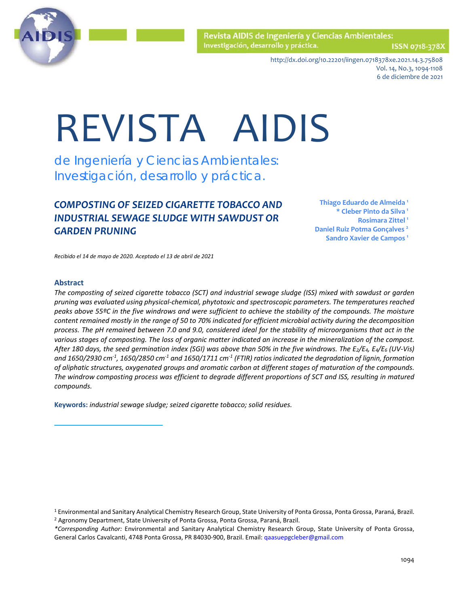

Revista AIDIS de Ingeniería y Ciencias Ambientales: Investigación, desarrollo y práctica.

ISSN 0718-378X

http://dx.doi.org/10.22201/iingen.0718378xe.2021.14.3.75808 Vol. 14, No.3, 1094-1108 6 de diciembre de 2021

# REVISTA AIDIS

de Ingeniería y Ciencias Ambientales: Investigación, desarrollo y práctica.

# *COMPOSTING OF SEIZED CIGARETTE TOBACCO AND INDUSTRIAL SEWAGE SLUDGE WITH SAWDUST OR GARDEN PRUNING*

**Thiago Eduardo de Almeida 1 \* Cleber Pinto da Silva 1 Rosimara Zittel 1 Daniel Ruiz Potma Gonçalves 2 Sandro Xavier de Campos 1** 

*Recibido el 14 de mayo de 2020. Aceptado el 13 de abril de 2021*

#### **Abstract**

*The composting of seized cigarette tobacco (SCT) and industrial sewage sludge (ISS) mixed with sawdust or garden pruning was evaluated using physical-chemical, phytotoxic and spectroscopic parameters. The temperatures reached peaks above 55ºC in the five windrows and were sufficient to achieve the stability of the compounds. The moisture content remained mostly in the range of 50 to 70% indicated for efficient microbial activity during the decomposition process. The pH remained between 7.0 and 9.0, considered ideal for the stability of microorganisms that act in the various stages of composting. The loss of organic matter indicated an increase in the mineralization of the compost. After 180 days, the seed germination index (SGI) was above than 50% in the five windrows. The E2/E4, E4/E6 (UV-Vis) and 1650/2930 cm-1 , 1650/2850 cm-1 and 1650/1711 cm-1 (FTIR) ratios indicated the degradation of lignin, formation of aliphatic structures, oxygenated groups and aromatic carbon at different stages of maturation of the compounds. The windrow composting process was efficient to degrade different proportions of SCT and ISS, resulting in matured compounds.* 

**Keywords:** *industrial sewage sludge; seized cigarette tobacco; solid residues.*

<sup>1</sup> Environmental and Sanitary Analytical Chemistry Research Group, State University of Ponta Grossa, Ponta Grossa, Paraná, Brazil. <sup>2</sup> Agronomy Department, State University of Ponta Grossa, Ponta Grossa, Paraná, Brazil.

*<sup>\*</sup>Corresponding Author:* Environmental and Sanitary Analytical Chemistry Research Group, State University of Ponta Grossa, General Carlos Cavalcanti, 4748 Ponta Grossa, PR 84030-900, Brazil. Email: [qaasuepgcleber@gmail.com](mailto:qaasuepgcleber@gmail.com)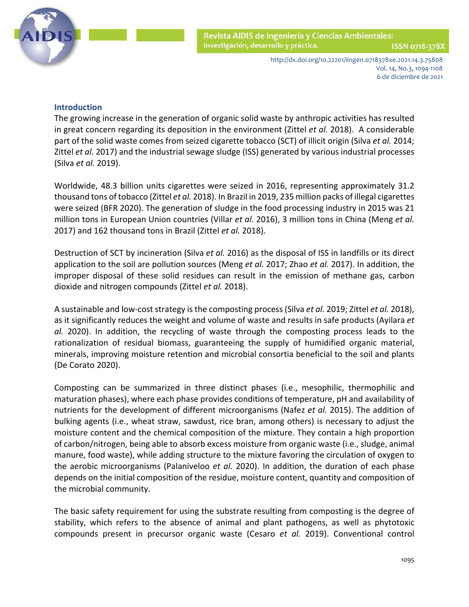

http://dx.doi.org/10.22201/iingen.0718378xe.2021.14.3.75808 Vol. 14, No.3, 1094-1108 6 de diciembre de 2021

# **Introduction**

The growing increase in the generation of organic solid waste by anthropic activities has resulted in great concern regarding its deposition in the environment [\(Zittel](#page-12-0) *et al.* 2018). A considerable part of the solid waste comes from seized cigarette tobacco (SCT) of illicit origi[n \(Silva](#page-12-0) *et al.* 2014; Zittel *et al.* 2017) and the industrial sewage sludge (ISS) generated by various industrial processes (Silva *et al.* [2019\).](#page-12-0)

Worldwide, 48.3 billion units cigarettes were seized in 2016, representing approximately 31.2 thousand tons of tobacc[o \(Zittel](#page-12-0) *et al.* 2018). In Brazil in 2019, 235 million packs of illegal cigarettes were seized (BFR 2020). The generation of sludge in the food processing industry in 2015 was 21 million tons in European Union countries [\(Villar](#page-12-0) *et al.* 2016), 3 million tons in China [\(Meng](#page-12-0) *et al.* 2017) and 162 thousand tons in Brazil [\(Zittel](#page-12-0) *et al.* 2018).

Destruction of SCT by incineration (Silva *et al.* 2016) as the disposal of ISS in landfills or its direct application to the soil are pollution sources (Meng *et al.* [2017; Zhao](#page-12-0) *et al.* 2017). In addition, the improper disposal of these solid residues can result in the emission of methane gas, carbon dioxide and nitrogen compounds [\(Zittel](#page-12-0) *et al.* 2018).

A sustainable and low-cost strategy is the composting process (Silva *et al.* [2019; Zittel](#page-12-0) *et al.* 2018), as it significantly reduces the weight and volume of waste and results in safe products [\(Ayilara](#page-12-0) *et al.* 2020). In addition, the recycling of waste through the composting process leads to the rationalization of residual biomass, guaranteeing the supply of humidified organic material, minerals, improving moisture retention and microbial consortia beneficial to the soil and plants [\(De Corato 2020\).](#page-12-0)

Composting can be summarized in three distinct phases (i.e., mesophilic, thermophilic and maturation phases), where each phase provides conditions of temperature, pH and availability of nutrients for the development of different microorganisms [\(Nafez](#page-12-0) *et al.* 2015). The addition of bulking agents (i.e., wheat straw, sawdust, rice bran, among others) is necessary to adjust the moisture content and the chemical composition of the mixture. They contain a high proportion of carbon/nitrogen, being able to absorb excess moisture from organic waste (i.e., sludge, animal manure, food waste), while adding structure to the mixture favoring the circulation of oxygen to the aerobic microorganisms [\(Palaniveloo](#page-12-0) *et al.* 2020). In addition, the duration of each phase depends on the initial composition of the residue, moisture content, quantity and composition of the microbial community.

The basic safety requirement for using the substrate resulting from composting is the degree of stability, which refers to the absence of animal and plant pathogens, as well as phytotoxic compounds present in precursor organic waste [\(Cesaro](#page-12-0) *et al.* 2019). Conventional control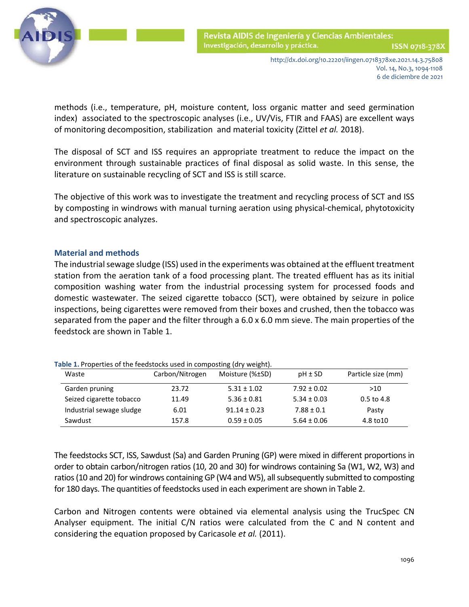

 methods (i.e., temperature, pH, moisture content, loss organic matter and seed germination index) associated to the spectroscopic analyses (i.e., UV/Vis, FTIR and FAAS) are excellent ways of monitoring decomposition, stabilization and material toxicity [\(Zittel](#page-12-0) *et al.* 2018).

The disposal of SCT and ISS requires an appropriate treatment to reduce the impact on the environment through sustainable practices of final disposal as solid waste. In this sense, the literature on sustainable recycling of SCT and ISS is still scarce.

The objective of this work was to investigate the treatment and recycling process of SCT and ISS by composting in windrows with manual turning aeration using physical-chemical, phytotoxicity and spectroscopic analyzes.

## **Material and methods**

The industrial sewage sludge (ISS) used in the experiments was obtained at the effluent treatment station from the aeration tank of a food processing plant. The treated effluent has as its initial composition washing water from the industrial processing system for processed foods and domestic wastewater. The seized cigarette tobacco (SCT), were obtained by seizure in police inspections, being cigarettes were removed from their boxes and crushed, then the tobacco was separated from the paper and the filter through a 6.0 x 6.0 mm sieve. The main properties of the feedstock are shown in Table 1.

| Waste                    | Carbon/Nitrogen | Moisture (%±SD)  | $pH \pm SD$     | Particle size (mm) |
|--------------------------|-----------------|------------------|-----------------|--------------------|
| Garden pruning           | 23.72           | $5.31 \pm 1.02$  | $7.92 \pm 0.02$ | >10                |
| Seized cigarette tobacco | 11.49           | $5.36 \pm 0.81$  | $5.34 \pm 0.03$ | $0.5$ to 4.8       |
| Industrial sewage sludge | 6.01            | $91.14 \pm 0.23$ | $7.88 \pm 0.1$  | Pasty              |
| Sawdust                  | 157.8           | $0.59 \pm 0.05$  | $5.64 \pm 0.06$ | 4.8 to 10          |

**Table 1.** Properties of the feedstocks used in composting (dry weight).

The feedstocks SCT, ISS, Sawdust (Sa) and Garden Pruning (GP) were mixed in different proportions in order to obtain carbon/nitrogen ratios (10, 20 and 30) for windrows containing Sa (W1, W2, W3) and ratios (10 and 20) for windrows containing GP (W4 and W5), all subsequently submitted to composting for 180 days. The quantities of feedstocks used in each experiment are shown in Table 2.

Carbon and Nitrogen contents were obtained via elemental analysis using the TrucSpec CN Analyser equipment. The initial C/N ratios were calculated from the C and N content and considering the equation proposed by [Caricasole](#page-12-0) *et al.* (2011).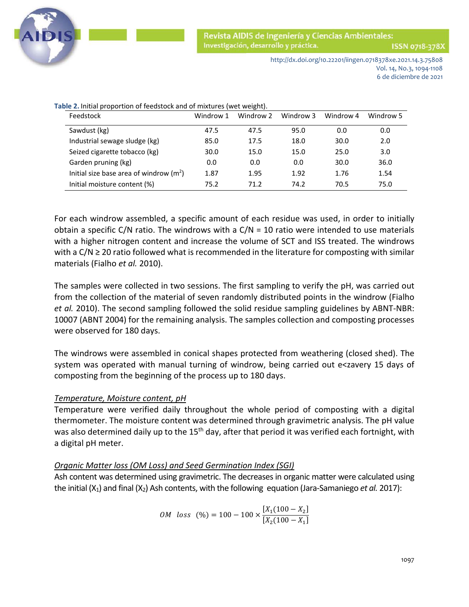

Revista AIDIS de Ingeniería y Ciencias Ambientales: Investigación, desarrollo y práctica.

ISSN 0718-378)

http://dx.doi.org/10.22201/iingen.0718378xe.2021.14.3.75808 Vol. 14, No.3, 1094-1108 6 de diciembre de 2021

| Feedstock                                | Windrow 1 | Windrow 2 | Windrow 3 | Windrow 4 | Windrow 5 |
|------------------------------------------|-----------|-----------|-----------|-----------|-----------|
| Sawdust (kg)                             | 47.5      | 47.5      | 95.0      | 0.0       | 0.0       |
| Industrial sewage sludge (kg)            | 85.0      | 17.5      | 18.0      | 30.0      | 2.0       |
| Seized cigarette tobacco (kg)            | 30.0      | 15.0      | 15.0      | 25.0      | 3.0       |
| Garden pruning (kg)                      | 0.0       | 0.0       | 0.0       | 30.0      | 36.0      |
| Initial size base area of windrow $(m2)$ | 1.87      | 1.95      | 1.92      | 1.76      | 1.54      |
| Initial moisture content (%)             | 75.2      | 71.2      | 74.2      | 70.5      | 75.0      |

**Table 2.** Initial proportion of feedstock and of mixtures (wet weight).

For each windrow assembled, a specific amount of each residue was used, in order to initially obtain a specific C/N ratio. The windrows with a  $C/N = 10$  ratio were intended to use materials with a higher nitrogen content and increase the volume of SCT and ISS treated. The windrows with a C/N ≥ 20 ratio followed what is recommended in the literature for composting with similar materials [\(Fialho](#page-12-0) *et al.* 2010).

The samples were collected in two sessions. The first sampling to verify the pH, was carried out from the collection of the material of seven randomly distributed points in the windrow [\(Fialho](#page-12-0)  *et al.* 2010). The second sampling followed the solid residue sampling guidelines by ABNT-NBR: 10007 [\(ABNT 2004\)](#page-12-0) for the remaining analysis. The samples collection and composting processes were observed for 180 days.

The windrows were assembled in conical shapes protected from weathering (closed shed). The system was operated with manual turning of windrow, being carried out e<zavery 15 days of composting from the beginning of the process up to 180 days.

## *Temperature, Moisture content, pH*

Temperature were verified daily throughout the whole period of composting with a digital thermometer. The moisture content was determined through gravimetric analysis. The pH value was also determined daily up to the 15<sup>th</sup> day, after that period it was verified each fortnight, with a digital pH meter.

## *Organic Matter loss (OM Loss) and Seed Germination Index (SGI)*

Ash content was determined using gravimetric. The decreases in organic matter were calculated using the initial (X<sub>1</sub>) and final (X<sub>2</sub>) Ash contents, with the following equation (Jara-Samaniego *et al.* 2017):

$$
OM \text{ loss } (\%) = 100 - 100 \times \frac{[X_1(100 - X_2]}{[X_2(100 - X_1]}
$$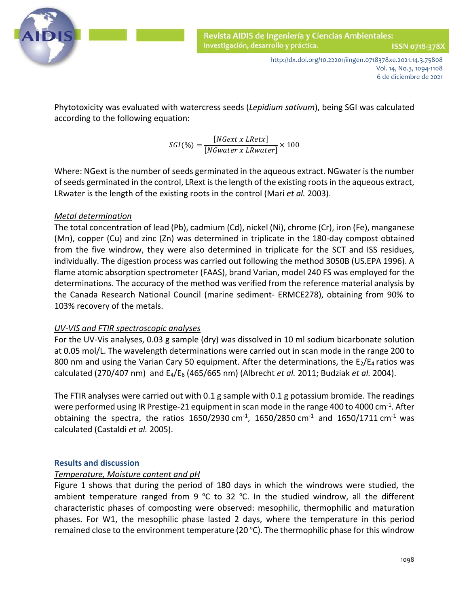

ISSN 0718-378)

http://dx.doi.org/10.22201/iingen.0718378xe.2021.14.3.75808 Vol. 14, No.3, 1094-1108 6 de diciembre de 2021

 Phytotoxicity was evaluated with watercress seeds (*Lepidium sativum*), being SGI was calculated according to the following equation:

 $SGI(\%) = \frac{[NGext \ x \ LRetx]}{[NGwater \ x \ LRwater]} \times 100$ 

Where: NGext is the number of seeds germinated in the aqueous extract. NGwater is the number of seeds germinated in the control, LRext is the length of the existing roots in the aqueous extract, LRwater is the length of the existing roots in the control [\(Mari](#page-12-0) *et al.* 2003).

# *Metal determination*

The total concentration of lead (Pb), cadmium (Cd), nickel (Ni), chrome (Cr), iron (Fe), manganese (Mn), copper (Cu) and zinc (Zn) was determined in triplicate in the 180-day compost obtained from the five windrow, they were also determined in triplicate for the SCT and ISS residues, individually. The digestion process was carried out following the method 3050B [\(US.EPA 1996\).](#page-12-0) A flame atomic absorption spectrometer (FAAS), brand Varian, model 240 FS was employed for the determinations. The accuracy of the method was verified from the reference material analysis by the Canada Research National Council (marine sediment- ERMCE278), obtaining from 90% to 103% recovery of the metals.

## *UV-VIS and FTIR spectroscopic analyses*

For the UV-Vis analyses, 0.03 g sample (dry) was dissolved in 10 ml sodium bicarbonate solution at 0.05 mol/L. The wavelength determinations were carried out in scan mode in the range 200 to 800 nm and using the Varian Cary 50 equipment. After the determinations, the  $E_2/E_4$  ratios was calculated (270/407 nm) and E4/E6 (465/665 nm) (Albrecht *et al.* [2011; Budziak](#page-12-0) *et al.* 2004).

The FTIR analyses were carried out with 0.1 g sample with 0.1 g potassium bromide. The readings were performed using IR Prestige-21 equipment in scan mode in the range 400 to 4000 cm<sup>-1</sup>. After obtaining the spectra, the ratios 1650/2930 cm<sup>-1</sup>, 1650/2850 cm<sup>-1</sup> and 1650/1711 cm<sup>-1</sup> was calculated [\(Castaldi](#page-12-0) *et al.* 2005).

## **Results and discussion**

# *Temperature, Moisture content and pH*

Figure 1 shows that during the period of 180 days in which the windrows were studied, the ambient temperature ranged from 9 °C to 32 °C. In the studied windrow, all the different characteristic phases of composting were observed: mesophilic, thermophilic and maturation phases. For W1, the mesophilic phase lasted 2 days, where the temperature in this period remained close to the environment temperature (20 ºC). The thermophilic phase for this windrow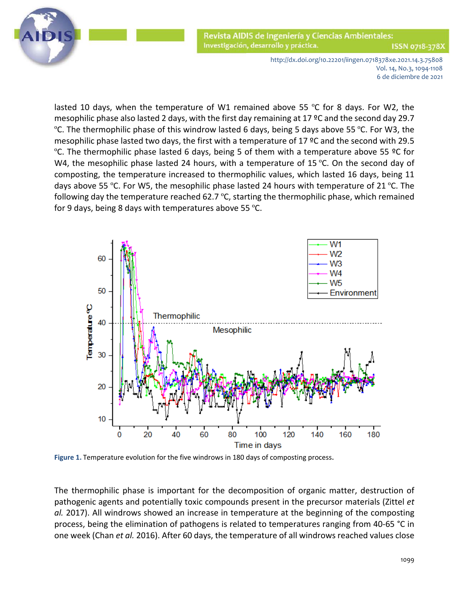

Revista AIDIS de Ingeniería y Ciencias Ambientales: Investigación, desarrollo y práctica. ISSN 0718-378)

> http://dx.doi.org/10.22201/iingen.0718378xe.2021.14.3.75808 Vol. 14, No.3, 1094-1108 6 de diciembre de 2021

 lasted 10 days, when the temperature of W1 remained above 55 ºC for 8 days. For W2, the mesophilic phase also lasted 2 days, with the first day remaining at 17 ºC and the second day 29.7 ºC. The thermophilic phase of this windrow lasted 6 days, being 5 days above 55 ºC. For W3, the mesophilic phase lasted two days, the first with a temperature of 17 ºC and the second with 29.5 ºC. The thermophilic phase lasted 6 days, being 5 of them with a temperature above 55 ºC for W4, the mesophilic phase lasted 24 hours, with a temperature of 15 °C. On the second day of composting, the temperature increased to thermophilic values, which lasted 16 days, being 11 days above 55 °C. For W5, the mesophilic phase lasted 24 hours with temperature of 21 °C. The following day the temperature reached 62.7 ºC, starting the thermophilic phase, which remained for 9 days, being 8 days with temperatures above 55 ºC.



**Figure 1.** Temperature evolution for the five windrows in 180 days of composting process.

The thermophilic phase is important for the decomposition of organic matter, destruction of pathogenic agents and potentially toxic compounds present in the precursor materials (Zittel *et al.* 2017). All windrows showed an increase in temperature at the beginning of the composting process, being the elimination of pathogens is related to temperatures ranging from 40-65 °C in one week (Chan *et al.* 2016). After 60 days, the temperature of all windrows reached values close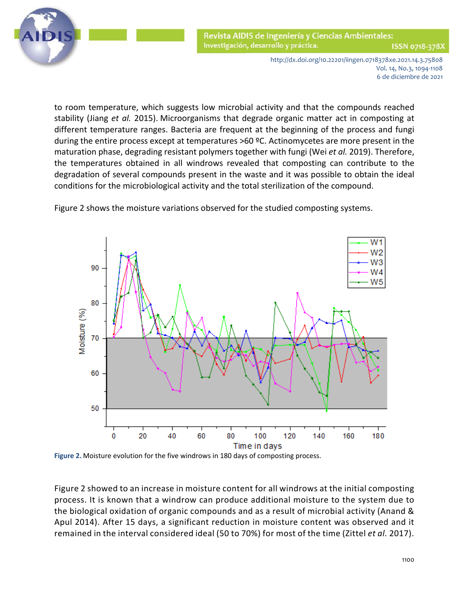

Revista AIDIS de Ingeniería y Ciencias Ambientales: Investigación, desarrollo y práctica. ISSN 0718-378)

> http://dx.doi.org/10.22201/iingen.0718378xe.2021.14.3.75808 Vol. 14, No.3, 1094-1108 6 de diciembre de 2021

 to room temperature, which suggests low microbial activity and that the compounds reached stability [\(Jiang](#page-12-0) *et al.* 2015). Microorganisms that degrade organic matter act in composting at different temperature ranges. Bacteria are frequent at the beginning of the process and fungi during the entire process except at temperatures >60 ºC. Actinomycetes are more present in the maturation phase, degrading resistant polymers together with fungi (Wei *et al.* 2019). Therefore, the temperatures obtained in all windrows revealed that composting can contribute to the degradation of several compounds present in the waste and it was possible to obtain the ideal conditions for the microbiological activity and the total sterilization of the compound.





**Figure 2.** Moisture evolution for the five windrows in 180 days of composting process.

Figure 2 showed to an increase in moisture content for all windrows at the initial composting process. It is known that a windrow can produce additional moisture to the system due to the biological oxidation of organic compounds and as a result of microbial activity (Anand & Apul 2014). After 15 days, a significant reduction in moisture content was observed and it remained in the interval considered ideal (50 to 70%) for most of the time (Zittel *et al.* 2017).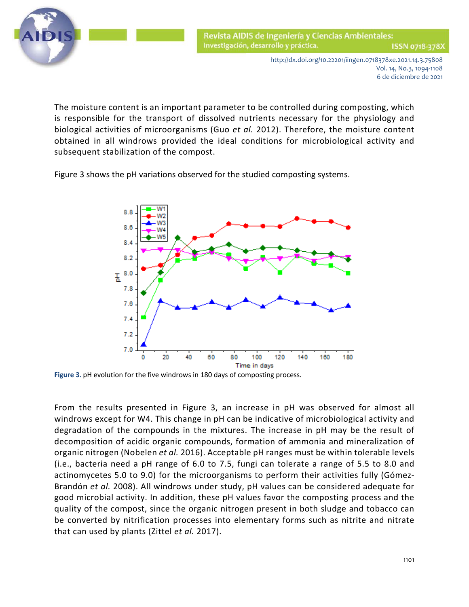

http://dx.doi.org/10.22201/iingen.0718378xe.2021.14.3.75808 Vol. 14, No.3, 1094-1108 6 de diciembre de 2021

 The moisture content is an important parameter to be controlled during composting, which is responsible for the transport of dissolved nutrients necessary for the physiology and biological activities of microorganisms (Guo *et al.* 2012). Therefore, the moisture content obtained in all windrows provided the ideal conditions for microbiological activity and subsequent stabilization of the compost.

Figure 3 shows the pH variations observed for the studied composting systems.



**Figure 3.** pH evolution for the five windrows in 180 days of composting process.

From the results presented in Figure 3, an increase in pH was observed for almost all windrows except for W4. This change in pH can be indicative of microbiological activity and degradation of the compounds in the mixtures. The increase in pH may be the result of decomposition of acidic organic compounds, formation of ammonia and mineralization of organic nitrogen (Nobelen *et al.* 2016). Acceptable pH ranges must be within tolerable levels (i.e., bacteria need a pH range of 6.0 to 7.5, fungi can tolerate a range of 5.5 to 8.0 and actinomycetes 5.0 to 9.0) for the microorganisms to perform their activities fully (Gómez-Brandón *et al.* 2008). All windrows under study, pH values can be considered adequate for good microbial activity. In addition, these pH values favor the composting process and the quality of the compost, since the organic nitrogen present in both sludge and tobacco can be converted by nitrification processes into elementary forms such as nitrite and nitrate that can used by plants (Zittel *et al.* 2017).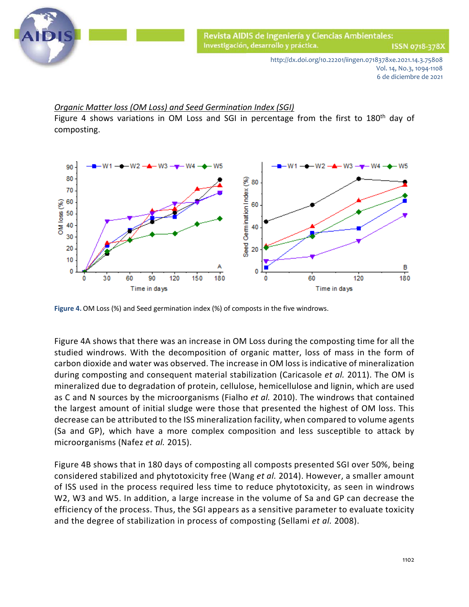

ISSN 0718-378X

http://dx.doi.org/10.22201/iingen.0718378xe.2021.14.3.75808 Vol. 14, No.3, 1094-1108 6 de diciembre de 2021

## *Organic Matter loss (OM Loss) and Seed Germination Index (SGI)*

Figure 4 shows variations in OM Loss and SGI in percentage from the first to 180<sup>th</sup> day of composting.



**Figure 4.** OM Loss (%) and Seed germination index (%) of composts in the five windrows.

Figure 4A shows that there was an increase in OM Loss during the composting time for all the studied windrows. With the decomposition of organic matter, loss of mass in the form of carbon dioxide and water was observed. The increase in OM loss is indicative of mineralization during composting and consequent material stabilization [\(Caricasole](#page-12-0) *et al.* 2011). The OM is mineralized due to degradation of protein, cellulose, hemicellulose and lignin, which are used as C and N sources by the microorganisms [\(Fialho](#page-12-0) *et al.* 2010). The windrows that contained the largest amount of initial sludge were those that presented the highest of OM loss. This decrease can be attributed to the ISS mineralization facility, when compared to volume agents (Sa and GP), which have a more complex composition and less susceptible to attack by microorganisms (Nafez *et al.* 2015).

Figure 4B shows that in 180 days of composting all composts presented SGI over 50%, being considered stabilized and phytotoxicity free [\(Wang](#page-12-0) *et al.* 2014). However, a smaller amount of ISS used in the process required less time to reduce phytotoxicity, as seen in windrows W2, W3 and W5. In addition, a large increase in the volume of Sa and GP can decrease the efficiency of the process. Thus, the SGI appears as a sensitive parameter to evaluate toxicity and the degree of stabilization in process of composting (Sellami *et al.* 2008).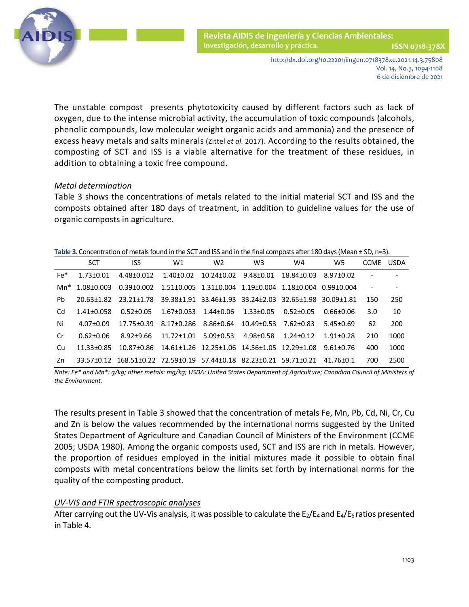

Revista AIDIS de Ingeniería y Ciencias Ambientales: Investigación, desarrollo y práctica. ISSN 0718-378)

> http://dx.doi.org/10.22201/iingen.0718378xe.2021.14.3.75808 Vol. 14, No.3, 1094-1108 6 de diciembre de 2021

 The unstable compost presents phytotoxicity caused by different factors such as lack of oxygen, due to the intense microbial activity, the accumulation of toxic compounds (alcohols, phenolic compounds, low molecular weight organic acids and ammonia) and the presence of excess heavy metals and salts minerals (Zittel *et al.* 2017). According to the results obtained, the composting of SCT and ISS is a viable alternative for the treatment of these residues, in addition to obtaining a toxic free compound.

#### *Metal determination*

Table 3 shows the concentrations of metals related to the initial material SCT and ISS and the composts obtained after 180 days of treatment, in addition to guideline values for the use of organic composts in agriculture.

| Table 3. Concentration of metals found in the SCT and ISS and in the final composts after 180 days (Mean ± SD, n=3). |
|----------------------------------------------------------------------------------------------------------------------|
|----------------------------------------------------------------------------------------------------------------------|

|           | <b>SCT</b>       | <b>ISS</b>                                                         | W1                                                                          | W <sub>2</sub>       | W <sub>3</sub>                              | W <sub>4</sub>       | W5              | <b>CCME</b> | <b>USDA</b>    |
|-----------|------------------|--------------------------------------------------------------------|-----------------------------------------------------------------------------|----------------------|---------------------------------------------|----------------------|-----------------|-------------|----------------|
| Fe*       | $1.73 + 0.01$    | 4.48±0.012                                                         | 1.40±0.02                                                                   | 10.24±0.02 9.48±0.01 |                                             | 18.84+0.03 8.97+0.02 |                 |             | $\overline{a}$ |
|           | Mn* 1.08+0.003   | $0.39 \pm 0.002$                                                   | $1.51\pm0.005$ $1.31\pm0.004$ $1.19\pm0.004$ $1.18\pm0.004$ 0.99 $\pm0.004$ |                      |                                             |                      |                 |             |                |
| <b>Pb</b> | 20.63+1.82       |                                                                    |                                                                             |                      |                                             |                      |                 | 150         | 250            |
| Cd        | $1.41 \pm 0.058$ | $0.52 + 0.05$                                                      | $1.67\pm0.053$ $1.44\pm0.06$                                                |                      | 1.33±0.05                                   | 0.52+0.05            | 0.66+0.06       | 3.0         | 10             |
| Ni        | 4.07+0.09        | 17.75±0.39                                                         | 8.17+0.286                                                                  | 8.86±0.64            | $10.49 + 0.53$                              | 7.62+0.83            | $5.45 \pm 0.69$ | 62          | 200            |
| Cr        | 0.62+0.06        | 8.92+9.66                                                          | 11.72+1.01                                                                  | $5.09 + 0.53$        | 4.98+0.58                                   | 1.24+0.12            | $1.91 + 0.28$   | 210         | 1000           |
| Cu        | 11.33+0.85       | 10.87+0.86                                                         |                                                                             |                      | 14.61±1.26 12.25±1.06 14.56±1.05 12.29±1.08 |                      | $9.61 + 0.76$   | 400         | 1000           |
| Zn        |                  | 33.57±0.12 168.51±0.22 72.59±0.19 57.44±0.18 82.23±0.21 59.71±0.21 |                                                                             |                      |                                             |                      | 41.76+0.1       | 700         | 2500           |

*Note: Fe\* and Mn\*: g/kg; other metals: mg/kg; USDA: United States Department of Agriculture; Canadian Council of Ministers of the Environment.*

The results present in Table 3 showed that the concentration of metals Fe, Mn, Pb, Cd, Ni, Cr, Cu and Zn is below the values recommended by the international norms suggested by the United States Department of Agriculture and Canadian Council of Ministers of the Environment [\(CCME](#page-12-0)  2005; USDA 1980). Among the organic composts used, SCT and ISS are rich in metals. However, the proportion of residues employed in the initial mixtures made it possible to obtain final composts with metal concentrations below the limits set forth by international norms for the quality of the composting product.

#### *UV-VIS and FTIR spectroscopic analyses*

After carrying out the UV-Vis analysis, it was possible to calculate the  $E_2/E_4$  and  $E_4/E_6$  ratios presented in Table 4.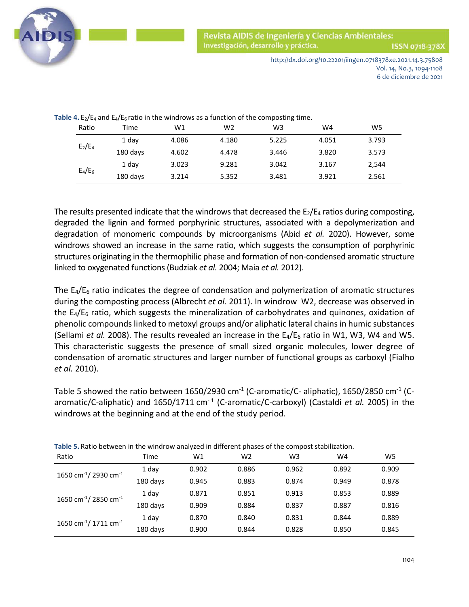

Revista AIDIS de Ingeniería y Ciencias Ambientales: Investigación, desarrollo y práctica.

ISSN 0718-378X

http://dx.doi.org/10.22201/iingen.0718378xe.2021.14.3.75808 Vol. 14, No.3, 1094-1108 6 de diciembre de 2021

| Table 4. $E_2/E_4$ and $E_4/E_6$ ratio in the windrows as a function of the composting time. |  |
|----------------------------------------------------------------------------------------------|--|
|----------------------------------------------------------------------------------------------|--|

| Ratio     | Time     | W1    | W <sub>2</sub> | W <sub>3</sub> | W4    | W5    |
|-----------|----------|-------|----------------|----------------|-------|-------|
| $E_2/E_4$ | 1 day    | 4.086 | 4.180          | 5.225          | 4.051 | 3.793 |
|           | 180 days | 4.602 | 4.478          | 3.446          | 3.820 | 3.573 |
| $E_4/E_6$ | 1 day    | 3.023 | 9.281          | 3.042          | 3.167 | 2,544 |
|           | 180 days | 3.214 | 5.352          | 3.481          | 3.921 | 2.561 |

The results presented indicate that the windrows that decreased the  $E_2/E_4$  ratios during composting, degraded the lignin and formed porphyrinic structures, associated with a depolymerization and degradation of monomeric compounds by microorganisms [\(Abid](#page-12-0) *et al.* 2020). However, some windrows showed an increase in the same ratio, which suggests the consumption of porphyrinic structures originating in the thermophilic phase and formation of non-condensed aromatic structure linked to oxygenated functions (Budziak *et al.* [2004; Maia](#page-12-0) *et al.* 2012).

The  $E_4/E_6$  ratio indicates the degree of condensation and polymerization of aromatic structures during the composting process [\(Albrecht](#page-12-0) *et al.* 2011). In windrow W2, decrease was observed in the  $E_4/E_6$  ratio, which suggests the mineralization of carbohydrates and quinones, oxidation of phenolic compounds linked to metoxyl groups and/or aliphatic lateral chains in humic substances [\(Sellami](#page-12-0) *et al.* 2008). The results revealed an increase in the E<sub>4</sub>/E<sub>6</sub> ratio in W1, W3, W4 and W5. This characteristic suggests the presence of small sized organic molecules, lower degree of condensation of aromatic structures and larger number of functional groups as carboxyl [\(Fialho](#page-12-0)  *et al.* 2010).

Table 5 showed the ratio between 1650/2930 cm<sup>-1</sup> (C-aromatic/C- aliphatic), 1650/2850 cm<sup>-1</sup> (C-aromatic/C-aliphatic) and 1650/1711 cm<sup>-1</sup> (C-aromatic/C-carboxyl) [\(Castaldi](#page-12-0) *et al.* 2005) in the windrows at the beginning and at the end of the study period.

| <b>Table 5.</b> Natio between in the windrow analyzed in unferent phases of the compost stabilization. |          |       |                |       |       |       |  |
|--------------------------------------------------------------------------------------------------------|----------|-------|----------------|-------|-------|-------|--|
| Ratio                                                                                                  | Time     | W1    | W <sub>2</sub> | W3    | W4    | W5    |  |
| 1650 cm <sup>-1</sup> /2930 cm <sup>-1</sup>                                                           | 1 day    | 0.902 | 0.886          | 0.962 | 0.892 | 0.909 |  |
|                                                                                                        | 180 days | 0.945 | 0.883          | 0.874 | 0.949 | 0.878 |  |
| 1650 cm <sup>-1</sup> /2850 cm <sup>-1</sup>                                                           | 1 day    | 0.871 | 0.851          | 0.913 | 0.853 | 0.889 |  |
|                                                                                                        | 180 days | 0.909 | 0.884          | 0.837 | 0.887 | 0.816 |  |
| 1650 cm <sup>-1</sup> / 1711 cm <sup>-1</sup>                                                          | 1 day    | 0.870 | 0.840          | 0.831 | 0.844 | 0.889 |  |
|                                                                                                        | 180 days | 0.900 | 0.844          | 0.828 | 0.850 | 0.845 |  |

**Table 5.** Ratio between in the windrow analyzed in different phases of the compost stabilization.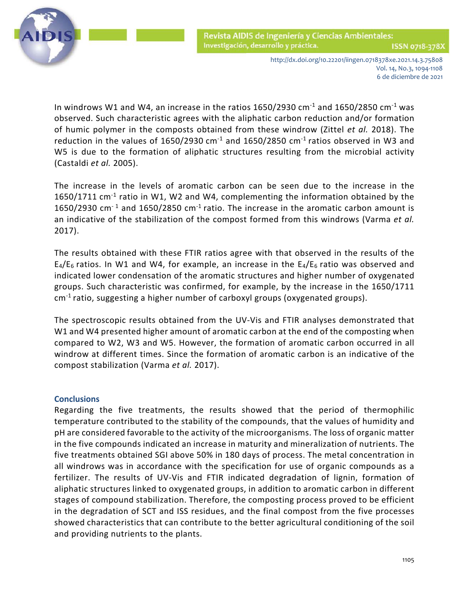

Revista AIDIS de Ingeniería y Ciencias Ambientales: Investigación, desarrollo y práctica. ISSN 0718-378X

http://dx.doi.org/10.22201/iingen.0718378xe.2021.14.3.75808 Vol. 14, No.3, 1094-1108 6 de diciembre de 2021

In windrows W1 and W4, an increase in the ratios  $1650/2930$  cm<sup>-1</sup> and  $1650/2850$  cm<sup>-1</sup> was observed. Such characteristic agrees with the aliphatic carbon reduction and/or formation of humic polymer in the composts obtained from these windrow [\(Zittel](#page-12-0) *et al.* 2018). The reduction in the values of 1650/2930  $cm^{-1}$  and 1650/2850  $cm^{-1}$  ratios observed in W3 and W5 is due to the formation of aliphatic structures resulting from the microbial activity [\(Castaldi](#page-12-0) *et al.* 2005).

The increase in the levels of aromatic carbon can be seen due to the increase in the 1650/1711  $cm^{-1}$  ratio in W1, W2 and W4, complementing the information obtained by the 1650/2930 cm<sup>-1</sup> and 1650/2850 cm<sup>-1</sup> ratio. The increase in the aromatic carbon amount is an indicative of the stabilization of the compost formed from this windrows [\(Varma](#page-12-0) *et al.* 2017).

The results obtained with these FTIR ratios agree with that observed in the results of the  $E_4/E_6$  ratios. In W1 and W4, for example, an increase in the  $E_4/E_6$  ratio was observed and indicated lower condensation of the aromatic structures and higher number of oxygenated groups. Such characteristic was confirmed, for example, by the increase in the 1650/1711 cm-1 ratio, suggesting a higher number of carboxyl groups (oxygenated groups).

The spectroscopic results obtained from the UV-Vis and FTIR analyses demonstrated that W1 and W4 presented higher amount of aromatic carbon at the end of the composting when compared to W2, W3 and W5. However, the formation of aromatic carbon occurred in all windrow at different times. Since the formation of aromatic carbon is an indicative of the compost stabilization [\(Varma](#page-12-0) *et al.* 2017).

## **Conclusions**

Regarding the five treatments, the results showed that the period of thermophilic temperature contributed to the stability of the compounds, that the values of humidity and pH are considered favorable to the activity of the microorganisms. The loss of organic matter in the five compounds indicated an increase in maturity and mineralization of nutrients. The five treatments obtained SGI above 50% in 180 days of process. The metal concentration in all windrows was in accordance with the specification for use of organic compounds as a fertilizer. The results of UV-Vis and FTIR indicated degradation of lignin, formation of aliphatic structures linked to oxygenated groups, in addition to aromatic carbon in different stages of compound stabilization. Therefore, the composting process proved to be efficient in the degradation of SCT and ISS residues, and the final compost from the five processes showed characteristics that can contribute to the better agricultural conditioning of the soil and providing nutrients to the plants.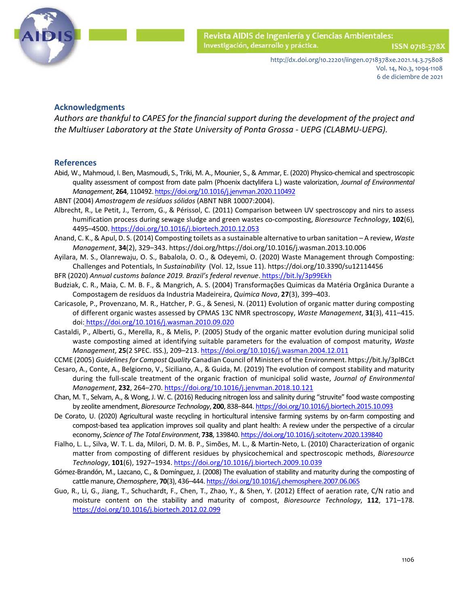

ISSN 0718-378)

http://dx.doi.org/10.22201/iingen.0718378xe.2021.14.3.75808 Vol. 14, No.3, 1094-1108 6 de diciembre de 2021

#### **Acknowledgments**

*Authors are thankful to CAPES for the financial support during the development of the project and the Multiuser Laboratory at the State University of Ponta Grossa - UEPG (CLABMU-UEPG).*

#### <span id="page-12-0"></span>**References**

- Abid, W., Mahmoud, I. Ben, Masmoudi, S., Triki, M. A., Mounier, S., & Ammar, E. (2020) Physico-chemical and spectroscopic quality assessment of compost from date palm (Phoenix dactylifera L.) waste valorization, *Journal of Environmental Management*, **264**, 110492[. https://doi.org/10.1016/j.jenvman.2020.110492](https://doi.org/10.1016/j.jenvman.2020.110492)
- ABNT (2004) *Amostragem de resíduos sólidos* (ABNT NBR 10007:2004).
- Albrecht, R., Le Petit, J., Terrom, G., & Périssol, C. (2011) Comparison between UV spectroscopy and nirs to assess humification process during sewage sludge and green wastes co-composting, *Bioresource Technology*, **102**(6), 4495–4500. <https://doi.org/10.1016/j.biortech.2010.12.053>
- Anand, C. K., & Apul, D. S. (2014) Composting toilets as a sustainable alternative to urban sanitation A review, *Waste Management*, **34**(2), 329–343. https://doi.org/https://doi.org/10.1016/j.wasman.2013.10.006
- Ayilara, M. S., Olanrewaju, O. S., Babalola, O. O., & Odeyemi, O. (2020) Waste Management through Composting: Challenges and Potentials, In *Sustainability* (Vol. 12, Issue 11). https://doi.org/10.3390/su12114456
- BFR (2020) *Annual customs balance 2019. Brazil's federal revenue*. <https://bit.ly/3p99Ekh>
- Budziak, C. R., Maia, C. M. B. F., & Mangrich, A. S. (2004) Transformações Quimicas da Matéria Orgânica Durante a Compostagem de resíduos da Industria Madeireira, *Quimica Nova*, **27**(3), 399–403.
- Caricasole, P., Provenzano, M. R., Hatcher, P. G., & Senesi, N. (2011) Evolution of organic matter during composting of different organic wastes assessed by CPMAS 13C NMR spectroscopy, *Waste Management*, **31**(3), 411–415. doi: <https://doi.org/10.1016/j.wasman.2010.09.020>
- Castaldi, P., Alberti, G., Merella, R., & Melis, P. (2005) Study of the organic matter evolution during municipal solid waste composting aimed at identifying suitable parameters for the evaluation of compost maturity, *Waste Management*, **25**(2 SPEC. ISS.), 209–213. <https://doi.org/10.1016/j.wasman.2004.12.011>
- CCME (2005) *Guidelines for Compost Quality* Canadian Council of Ministers of the Environment. https://bit.ly/3plBCct
- Cesaro, A., Conte, A., Belgiorno, V., Siciliano, A., & Guida, M. (2019) The evolution of compost stability and maturity during the full-scale treatment of the organic fraction of municipal solid waste, *Journal of Environmental Management*, **232**, 264–270.<https://doi.org/10.1016/j.jenvman.2018.10.121>
- Chan, M. T., Selvam, A., & Wong, J. W. C. (2016) Reducing nitrogen loss and salinity during "struvite" food waste composting by zeolite amendment, *Bioresource Technology*, **200**, 838–844[. https://doi.org/10.1016/j.biortech.2015.10.093](https://doi.org/10.1016/j.biortech.2015.10.093)
- De Corato, U. (2020) Agricultural waste recycling in horticultural intensive farming systems by on-farm composting and compost-based tea application improves soil quality and plant health: A review under the perspective of a circular economy, *Science of The Total Environment*, **738**, 139840[. https://doi.org/10.1016/j.scitotenv.2020.139840](https://doi.org/10.1016/j.scitotenv.2020.139840)
- Fialho, L. L., Silva, W. T. L. da, Milori, D. M. B. P., Simões, M. L., & Martin-Neto, L. (2010) Characterization of organic matter from composting of different residues by physicochemical and spectroscopic methods, *Bioresource Technology*, **101**(6), 1927–1934. <https://doi.org/10.1016/j.biortech.2009.10.039>
- Gómez-Brandón, M., Lazcano, C., & Domínguez, J. (2008) The evaluation of stability and maturity during the composting of cattle manure, *Chemosphere*, **70**(3), 436–444[. https://doi.org/10.1016/j.chemosphere.2007.06.065](https://doi.org/10.1016/j.chemosphere.2007.06.065)
- Guo, R., Li, G., Jiang, T., Schuchardt, F., Chen, T., Zhao, Y., & Shen, Y. (2012) Effect of aeration rate, C/N ratio and moisture content on the stability and maturity of compost, *Bioresource Technology*, **112**, 171–178. <https://doi.org/10.1016/j.biortech.2012.02.099>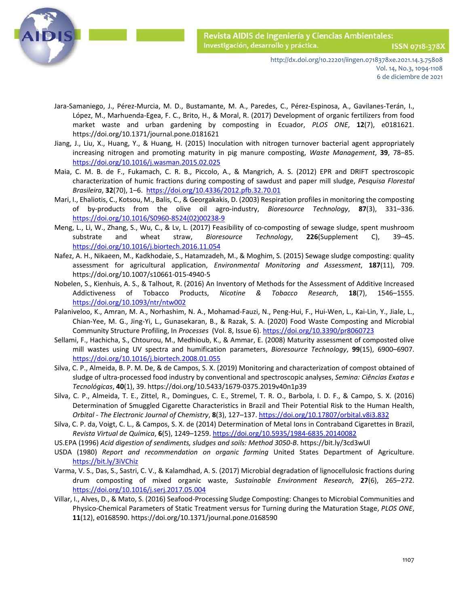

http://dx.doi.org/10.22201/iingen.0718378xe.2021.14.3.75808 Vol. 14, No.3, 1094-1108 6 de diciembre de 2021

- Jara-Samaniego, J., Pérez-Murcia, M. D., Bustamante, M. A., Paredes, C., Pérez-Espinosa, A., Gavilanes-Terán, I., López, M., Marhuenda-Egea, F. C., Brito, H., & Moral, R. (2017) Development of organic fertilizers from food market waste and urban gardening by composting in Ecuador, *PLOS ONE*, **12**(7), e0181621. https://doi.org/10.1371/journal.pone.0181621
- Jiang, J., Liu, X., Huang, Y., & Huang, H. (2015) Inoculation with nitrogen turnover bacterial agent appropriately increasing nitrogen and promoting maturity in pig manure composting, *Waste Management*, **39**, 78–85. <https://doi.org/10.1016/j.wasman.2015.02.025>
- Maia, C. M. B. de F., Fukamach, C. R. B., Piccolo, A., & Mangrich, A. S. (2012) EPR and DRIFT spectroscopic characterization of humic fractions during composting of sawdust and paper mill sludge, *Pesquisa Florestal Brasileira*, **32**(70), 1–6. <https://doi.org/10.4336/2012.pfb.32.70.01>
- Mari, I., Ehaliotis, C., Kotsou, M., Balis, C., & Georgakakis, D. (2003) Respiration profiles in monitoring the composting of by-products from the olive oil agro-industry, *Bioresource Technology*, **87**(3), 331–336. [https://doi.org/10.1016/S0960-8524\(02\)00238-9](https://doi.org/10.1016/S0960-8524(02)00238-9)
- Meng, L., Li, W., Zhang, S., Wu, C., & Lv, L. (2017) Feasibility of co-composting of sewage sludge, spent mushroom substrate and wheat straw, *Bioresource Technology*, **226**(Supplement C), 39–45. <https://doi.org/10.1016/j.biortech.2016.11.054>
- Nafez, A. H., Nikaeen, M., Kadkhodaie, S., Hatamzadeh, M., & Moghim, S. (2015) Sewage sludge composting: quality assessment for agricultural application, *Environmental Monitoring and Assessment*, **187**(11), 709. https://doi.org/10.1007/s10661-015-4940-5
- Nobelen, S., Kienhuis, A. S., & Talhout, R. (2016) An Inventory of Methods for the Assessment of Additive Increased Addictiveness of Tobacco Products, *Nicotine & Tobacco Research*, **18**(7), 1546–1555. <https://doi.org/10.1093/ntr/ntw002>
- Palaniveloo, K., Amran, M. A., Norhashim, N. A., Mohamad-Fauzi, N., Peng-Hui, F., Hui-Wen, L., Kai-Lin, Y., Jiale, L., Chian-Yee, M. G., Jing-Yi, L., Gunasekaran, B., & Razak, S. A. (2020) Food Waste Composting and Microbial Community Structure Profiling, In *Processes* (Vol. 8, Issue 6)[. https://doi.org/10.3390/pr8060723](https://doi.org/10.3390/pr8060723)
- Sellami, F., Hachicha, S., Chtourou, M., Medhioub, K., & Ammar, E. (2008) Maturity assessment of composted olive mill wastes using UV spectra and humification parameters, *Bioresource Technology*, **99**(15), 6900–6907. <https://doi.org/10.1016/j.biortech.2008.01.055>
- Silva, C. P., Almeida, B. P. M. De, & de Campos, S. X. (2019) Monitoring and characterization of compost obtained of sludge of ultra-processed food industry by conventional and spectroscopic analyses, *Semina: Ciências Exatas e Tecnológicas*, **40**(1), 39. https://doi.org/10.5433/1679-0375.2019v40n1p39
- Silva, C. P., Almeida, T. E., Zittel, R., Domingues, C. E., Stremel, T. R. O., Barbola, I. D. F., & Campo, S. X. (2016) Determination of Smuggled Cigarette Characteristics in Brazil and Their Potential Risk to the Human Health, *Orbital - The Electronic Journal of Chemistry*, **8**(3), 127–137.<https://doi.org/10.17807/orbital.v8i3.832>
- Silva, C. P. da, Voigt, C. L., & Campos, S. X. de (2014) Determination of Metal Ions in Contraband Cigarettes in Brazil, *Revista Virtual de Química*, **6**(5), 1249–1259. <https://doi.org/10.5935/1984-6835.20140082>
- US.EPA (1996) *Acid digestion of sendiments, sludges and soils: Method 3050-B*. https://bit.ly/3cd3wUl
- USDA (1980) *Report and recommendation on organic farming* United States Department of Agriculture. <https://bit.ly/3iVChiz>
- Varma, V. S., Das, S., Sastri, C. V., & Kalamdhad, A. S. (2017) Microbial degradation of lignocellulosic fractions during drum composting of mixed organic waste, *Sustainable Environment Research*, **27**(6), 265–272. <https://doi.org/10.1016/j.serj.2017.05.004>
- Villar, I., Alves, D., & Mato, S. (2016) Seafood-Processing Sludge Composting: Changes to Microbial Communities and Physico-Chemical Parameters of Static Treatment versus for Turning during the Maturation Stage, *PLOS ONE*, **11**(12), e0168590. https://doi.org/10.1371/journal.pone.0168590